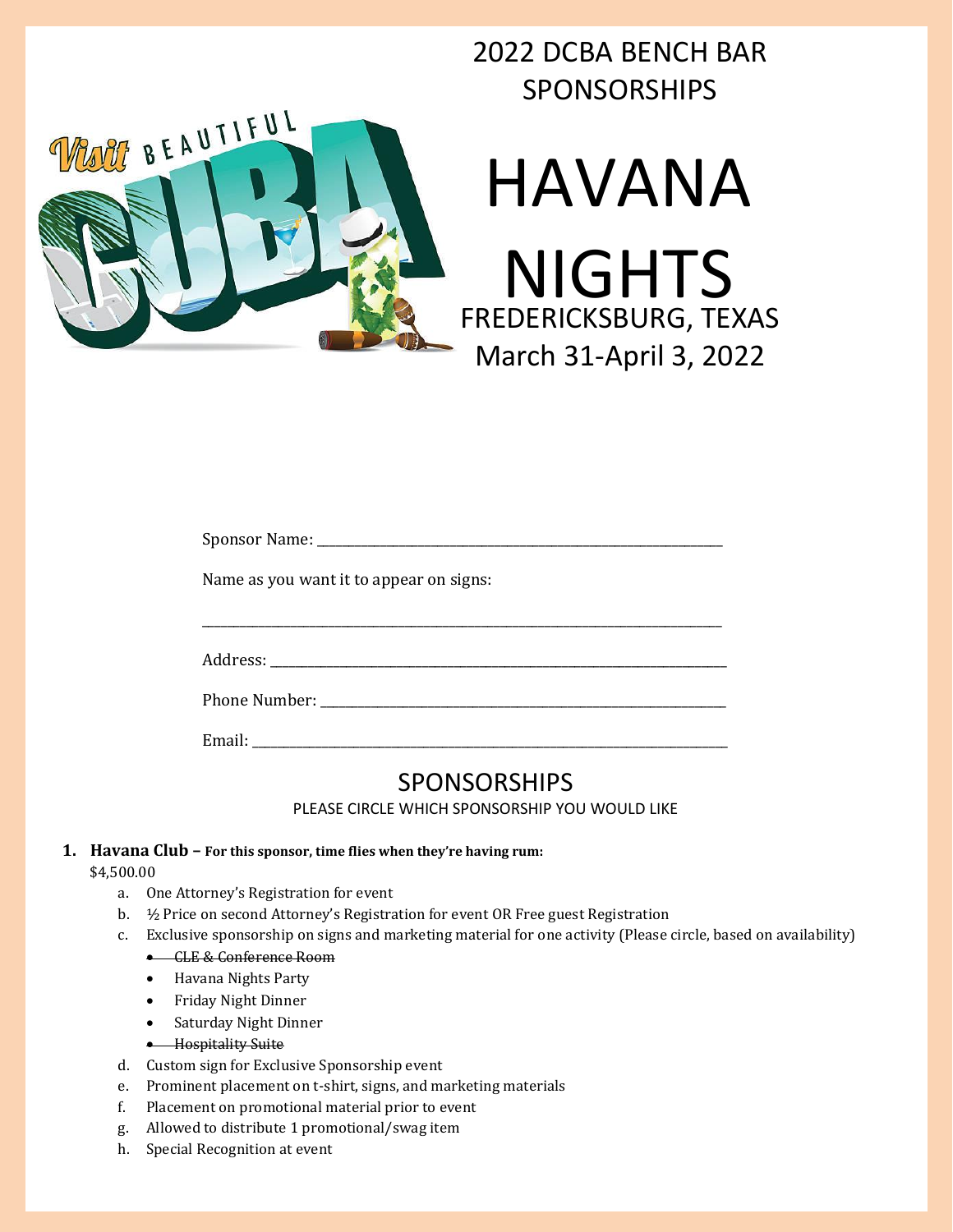# 2022 DCBA BENCH BAR SPONSORSHIPS



| Name as you want it to appear on signs: |
|-----------------------------------------|
|                                         |
|                                         |
| Address: _____________                  |

Phone Number: \_\_\_\_\_\_\_\_\_\_\_\_\_\_\_\_\_\_\_\_\_\_\_\_\_\_\_\_\_\_\_\_\_\_\_\_\_\_\_\_\_\_\_\_\_\_\_\_\_\_\_\_\_\_\_\_\_\_\_\_\_\_\_\_

Email:

# SPONSORSHIPS

PLEASE CIRCLE WHICH SPONSORSHIP YOU WOULD LIKE

# **1. Havana Club – For this sponsor, time flies when they're having rum:**

\$4,500.00

- a. One Attorney's Registration for event
- b. ½ Price on second Attorney's Registration for event OR Free guest Registration
- c. Exclusive sponsorship on signs and marketing material for one activity (Please circle, based on availability)
	- CLE & Conference Room
	- Havana Nights Party
	- Friday Night Dinner
	- Saturday Night Dinner
	- Hospitality Suite
- d. Custom sign for Exclusive Sponsorship event
- e. Prominent placement on t-shirt, signs, and marketing materials
- f. Placement on promotional material prior to event
- g. Allowed to distribute 1 promotional/swag item
- h. Special Recognition at event